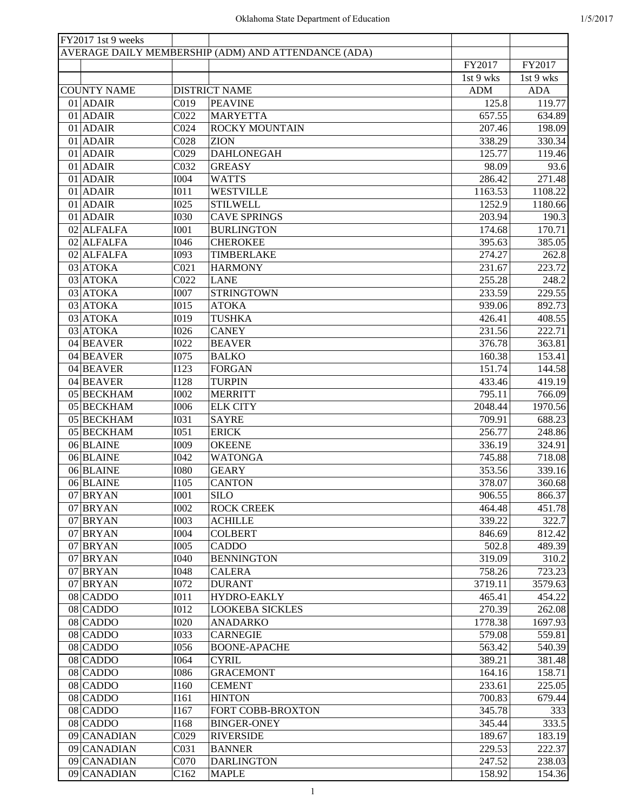| FY2017 1st 9 weeks |                  |                                                     |            |            |
|--------------------|------------------|-----------------------------------------------------|------------|------------|
|                    |                  | AVERAGE DAILY MEMBERSHIP (ADM) AND ATTENDANCE (ADA) |            |            |
|                    |                  |                                                     | FY2017     | FY2017     |
|                    |                  |                                                     | 1st 9 wks  | 1st 9 wks  |
| <b>COUNTY NAME</b> |                  | <b>DISTRICT NAME</b>                                | <b>ADM</b> | <b>ADA</b> |
| $01$ ADAIR         | C019             | <b>PEAVINE</b>                                      | 125.8      | 119.77     |
| 01 ADAIR           | CO22             | <b>MARYETTA</b>                                     | 657.55     | 634.89     |
| $01$ ADAIR         | CO <sub>24</sub> | <b>ROCKY MOUNTAIN</b>                               | 207.46     | 198.09     |
| $01$ ADAIR         | C028             | <b>ZION</b>                                         | 338.29     | 330.34     |
| 01 ADAIR           | C029             | <b>DAHLONEGAH</b>                                   | 125.77     | 119.46     |
| $01$ ADAIR         | C032             | <b>GREASY</b>                                       | 98.09      | 93.6       |
| $01$ ADAIR         | <b>I004</b>      | <b>WATTS</b>                                        | 286.42     | 271.48     |
| $01$ ADAIR         | I011             | <b>WESTVILLE</b>                                    | 1163.53    | 1108.22    |
|                    |                  |                                                     |            |            |
| $01$ ADAIR         | <b>I025</b>      | <b>STILWELL</b>                                     | 1252.9     | 1180.66    |
| $01$ ADAIR         | <b>I030</b>      | <b>CAVE SPRINGS</b>                                 | 203.94     | 190.3      |
| 02 ALFALFA         | <b>I001</b>      | <b>BURLINGTON</b>                                   | 174.68     | 170.71     |
| 02 ALFALFA         | I046             | <b>CHEROKEE</b>                                     | 395.63     | 385.05     |
| 02 ALFALFA         | I093             | TIMBERLAKE                                          | 274.27     | 262.8      |
| 03 ATOKA           | CO21             | <b>HARMONY</b>                                      | 231.67     | 223.72     |
| 03 ATOKA           | C <sub>022</sub> | <b>LANE</b>                                         | 255.28     | 248.2      |
| $03$ ATOKA         | <b>I007</b>      | <b>STRINGTOWN</b>                                   | 233.59     | 229.55     |
| $03$ ATOKA         | I015             | <b>ATOKA</b>                                        | 939.06     | 892.73     |
| $03$ ATOKA         | I019             | <b>TUSHKA</b>                                       | 426.41     | 408.55     |
| 03 ATOKA           | <b>I026</b>      | <b>CANEY</b>                                        | 231.56     | 222.71     |
| 04 BEAVER          | <b>I022</b>      | <b>BEAVER</b>                                       | 376.78     | 363.81     |
| 04 BEAVER          | <b>I075</b>      | <b>BALKO</b>                                        | 160.38     | 153.41     |
| 04 BEAVER          | <b>I123</b>      | <b>FORGAN</b>                                       | 151.74     | 144.58     |
| 04 BEAVER          | <b>I128</b>      | <b>TURPIN</b>                                       | 433.46     | 419.19     |
| 05 BECKHAM         | <b>I002</b>      | <b>MERRITT</b>                                      | 795.11     | 766.09     |
| 05 BECKHAM         | <b>I006</b>      | <b>ELK CITY</b>                                     | 2048.44    | 1970.56    |
|                    |                  |                                                     |            |            |
| 05 BECKHAM         | <b>I031</b>      | <b>SAYRE</b>                                        | 709.91     | 688.23     |
| 05 BECKHAM         | I051             | <b>ERICK</b>                                        | 256.77     | 248.86     |
| 06 BLAINE          | I009             | <b>OKEENE</b>                                       | 336.19     | 324.91     |
| 06 BLAINE          | I042             | <b>WATONGA</b>                                      | 745.88     | 718.08     |
| 06 BLAINE          | <b>I080</b>      | <b>GEARY</b>                                        | 353.56     | 339.16     |
| 06 BLAINE          | <b>I105</b>      | <b>CANTON</b>                                       | 378.07     | 360.68     |
| 07 BRYAN           | I001             | <b>SILO</b>                                         | 906.55     | 866.37     |
| 07 BRYAN           | <b>I002</b>      | <b>ROCK CREEK</b>                                   | 464.48     | 451.78     |
| 07 BRYAN           | <b>I003</b>      | <b>ACHILLE</b>                                      | 339.22     | 322.7      |
| 07 BRYAN           | <b>I004</b>      | <b>COLBERT</b>                                      | 846.69     | 812.42     |
| 07 BRYAN           | <b>I005</b>      | <b>CADDO</b>                                        | 502.8      | 489.39     |
| 07 BRYAN           | I040             | <b>BENNINGTON</b>                                   | 319.09     | 310.2      |
| 07 BRYAN           | <b>I048</b>      | <b>CALERA</b>                                       | 758.26     | 723.23     |
| 07 BRYAN           | <b>I072</b>      | <b>DURANT</b>                                       | 3719.11    | 3579.63    |
| $08$ CADDO         | I011             | HYDRO-EAKLY                                         | 465.41     | 454.22     |
| $08$ CADDO         | <b>I012</b>      | <b>LOOKEBA SICKLES</b>                              | 270.39     | 262.08     |
| $08$ CADDO         | <b>I020</b>      | <b>ANADARKO</b>                                     | 1778.38    | 1697.93    |
|                    |                  |                                                     |            |            |
| $08$ CADDO         | <b>I033</b>      | <b>CARNEGIE</b>                                     | 579.08     | 559.81     |
| $08$ CADDO         | <b>I056</b>      | <b>BOONE-APACHE</b>                                 | 563.42     | 540.39     |
| $08$ CADDO         | I064             | <b>CYRIL</b>                                        | 389.21     | 381.48     |
| 08 CADDO           | <b>I086</b>      | <b>GRACEMONT</b>                                    | 164.16     | 158.71     |
| $08$ CADDO         | I160             | <b>CEMENT</b>                                       | 233.61     | 225.05     |
| $08$ CADDO         | I161             | <b>HINTON</b>                                       | 700.83     | 679.44     |
| $08$ CADDO         | I167             | FORT COBB-BROXTON                                   | 345.78     | 333        |
| $08$ CADDO         | I168             | <b>BINGER-ONEY</b>                                  | 345.44     | 333.5      |
| 09 CANADIAN        | C029             | <b>RIVERSIDE</b>                                    | 189.67     | 183.19     |
| 09 CANADIAN        | C031             | <b>BANNER</b>                                       | 229.53     | 222.37     |
| 09 CANADIAN        | C070             | <b>DARLINGTON</b>                                   | 247.52     | 238.03     |
| 09 CANADIAN        | C <sub>162</sub> | <b>MAPLE</b>                                        | 158.92     | 154.36     |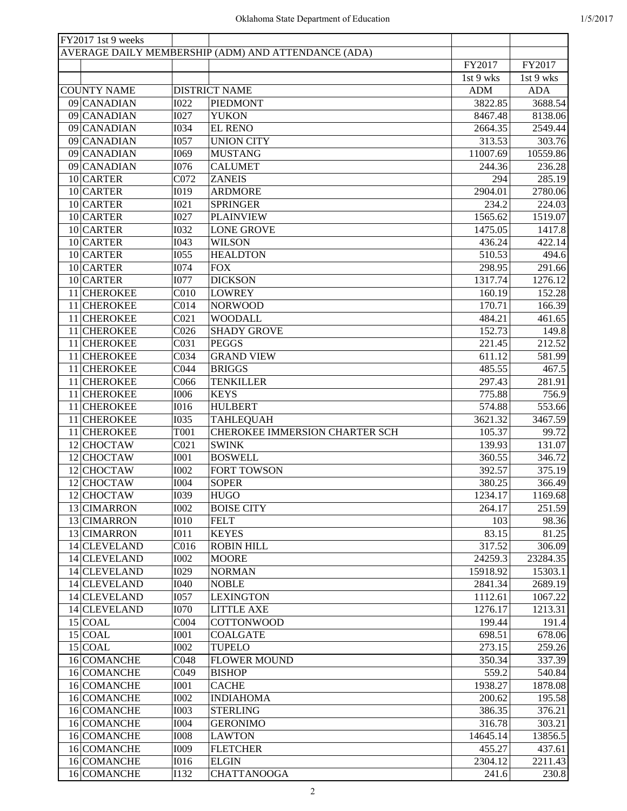| FY2017 1st 9 weeks     |                  |                                                     |            |                     |
|------------------------|------------------|-----------------------------------------------------|------------|---------------------|
|                        |                  | AVERAGE DAILY MEMBERSHIP (ADM) AND ATTENDANCE (ADA) |            |                     |
|                        |                  |                                                     | FY2017     | FY2017              |
|                        |                  |                                                     | 1st 9 wks  | 1st 9 wks           |
| <b>COUNTY NAME</b>     |                  | <b>DISTRICT NAME</b>                                | <b>ADM</b> | <b>ADA</b>          |
| 09 CANADIAN            | <b>I022</b>      | <b>PIEDMONT</b>                                     | 3822.85    | 3688.54             |
| 09 CANADIAN            | I027             | <b>YUKON</b>                                        | 8467.48    | 8138.06             |
| 09 CANADIAN            | <b>I034</b>      | <b>EL RENO</b>                                      | 2664.35    | 2549.44             |
| 09 CANADIAN            | <b>I057</b>      | <b>UNION CITY</b>                                   | 313.53     | 303.76              |
| 09 CANADIAN            | <b>I069</b>      | <b>MUSTANG</b>                                      | 11007.69   | 10559.86            |
| 09 CANADIAN            | <b>I076</b>      | <b>CALUMET</b>                                      | 244.36     | 236.28              |
| 10 CARTER              | C072             | <b>ZANEIS</b>                                       | 294        | 285.19              |
| 10 CARTER              | I019             | <b>ARDMORE</b>                                      | 2904.01    | 2780.06             |
| 10 CARTER              | <b>I021</b>      | <b>SPRINGER</b>                                     | 234.2      | 224.03              |
| 10 CARTER              | <b>I027</b>      | <b>PLAINVIEW</b>                                    | 1565.62    | 1519.07             |
| 10 CARTER              | <b>I032</b>      | <b>LONE GROVE</b>                                   | 1475.05    | 1417.8              |
| 10 CARTER              | I043             | <b>WILSON</b>                                       | 436.24     | $\overline{422.14}$ |
| 10 CARTER              | <b>I055</b>      | <b>HEALDTON</b>                                     | 510.53     | 494.6               |
| 10 CARTER              | <b>I074</b>      | <b>FOX</b>                                          | 298.95     | 291.66              |
| $\overline{10}$ CARTER | <b>I077</b>      | <b>DICKSON</b>                                      | 1317.74    | 1276.12             |
| 11 CHEROKEE            | C <sub>010</sub> | <b>LOWREY</b>                                       | 160.19     | 152.28              |
| 11 CHEROKEE            |                  | <b>NORWOOD</b>                                      |            |                     |
|                        | C <sub>014</sub> |                                                     | 170.71     | 166.39              |
| 11 CHEROKEE            | CO21             | <b>WOODALL</b>                                      | 484.21     | 461.65              |
| 11 CHEROKEE            | C <sub>026</sub> | <b>SHADY GROVE</b>                                  | 152.73     | 149.8               |
| 11 CHEROKEE            | C031             | <b>PEGGS</b>                                        | 221.45     | 212.52              |
| 11 CHEROKEE            | C034             | <b>GRAND VIEW</b>                                   | 611.12     | 581.99              |
| 11 CHEROKEE            | C044             | <b>BRIGGS</b>                                       | 485.55     | 467.5               |
| 11 CHEROKEE            | C066             | <b>TENKILLER</b>                                    | 297.43     | 281.91              |
| 11 CHEROKEE            | <b>I006</b>      | <b>KEYS</b>                                         | 775.88     | 756.9               |
| 11 CHEROKEE            | <b>I016</b>      | <b>HULBERT</b>                                      | 574.88     | 553.66              |
| 11 CHEROKEE            | <b>I035</b>      | <b>TAHLEQUAH</b>                                    | 3621.32    | 3467.59             |
| 11 CHEROKEE            | <b>T001</b>      | CHEROKEE IMMERSION CHARTER SCH                      | 105.37     | 99.72               |
| 12 CHOCTAW             | CO21             | <b>SWINK</b>                                        | 139.93     | 131.07              |
| 12 CHOCTAW             | I001             | <b>BOSWELL</b>                                      | 360.55     | 346.72              |
| 12 CHOCTAW             | <b>I002</b>      | <b>FORT TOWSON</b>                                  | 392.57     | 375.19              |
| 12 CHOCTAW             | <b>I004</b>      | <b>SOPER</b>                                        | 380.25     | 366.49              |
| 12 CHOCTAW             | I039             | <b>HUGO</b>                                         | 1234.17    | 1169.68             |
| 13 CIMARRON            | <b>I002</b>      | <b>BOISE CITY</b>                                   | 264.17     | 251.59              |
| 13 CIMARRON            | I010             | <b>FELT</b>                                         | 103        | 98.36               |
| 13 CIMARRON            | I011             | <b>KEYES</b>                                        | 83.15      | 81.25               |
| 14 CLEVELAND           | C <sub>016</sub> | <b>ROBIN HILL</b>                                   | 317.52     | 306.09              |
| 14 CLEVELAND           | <b>I002</b>      | <b>MOORE</b>                                        | 24259.3    | 23284.35            |
| 14 CLEVELAND           | I029             | <b>NORMAN</b>                                       | 15918.92   | 15303.1             |
| 14 CLEVELAND           | <b>I040</b>      | <b>NOBLE</b>                                        | 2841.34    | 2689.19             |
| 14 CLEVELAND           | <b>I057</b>      | <b>LEXINGTON</b>                                    | 1112.61    | 1067.22             |
| 14 CLEVELAND           | <b>I070</b>      | <b>LITTLE AXE</b>                                   | 1276.17    | 1213.31             |
| $15$ COAL              | CO <sub>04</sub> | <b>COTTONWOOD</b>                                   | 199.44     | 191.4               |
| $15$ COAL              | <b>I001</b>      | <b>COALGATE</b>                                     | 698.51     | 678.06              |
| $15$ COAL              | <b>I002</b>      | <b>TUPELO</b>                                       | 273.15     | 259.26              |
| 16 COMANCHE            | C048             | <b>FLOWER MOUND</b>                                 | 350.34     | 337.39              |
| 16 COMANCHE            | C049             | <b>BISHOP</b>                                       | 559.2      | 540.84              |
| 16 COMANCHE            | I001             | <b>CACHE</b>                                        | 1938.27    | 1878.08             |
| 16 COMANCHE            | <b>I002</b>      | <b>INDIAHOMA</b>                                    | 200.62     | 195.58              |
| 16 COMANCHE            | <b>I003</b>      | <b>STERLING</b>                                     | 386.35     | 376.21              |
| 16 COMANCHE            | $I004$           | <b>GERONIMO</b>                                     | 316.78     | 303.21              |
| 16 COMANCHE            | <b>I008</b>      | <b>LAWTON</b>                                       | 14645.14   | 13856.5             |
| 16 COMANCHE            | <b>I009</b>      | <b>FLETCHER</b>                                     | 455.27     | 437.61              |
| 16 COMANCHE            | <b>I016</b>      | <b>ELGIN</b>                                        | 2304.12    | 2211.43             |
| 16 COMANCHE            | <b>I132</b>      | <b>CHATTANOOGA</b>                                  | 241.6      | 230.8               |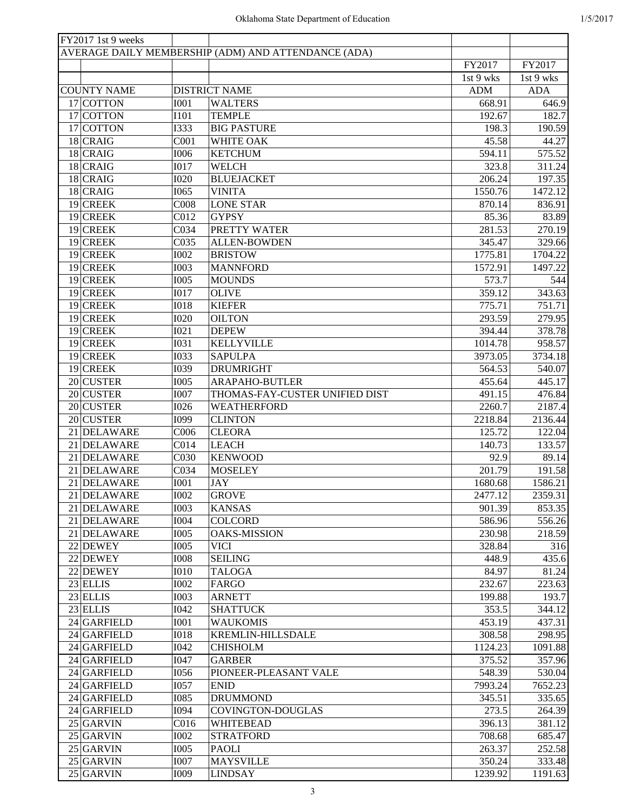| FY2017 1st 9 weeks |                  |                                                     |            |            |
|--------------------|------------------|-----------------------------------------------------|------------|------------|
|                    |                  | AVERAGE DAILY MEMBERSHIP (ADM) AND ATTENDANCE (ADA) |            |            |
|                    |                  |                                                     | FY2017     | FY2017     |
|                    |                  |                                                     | 1st 9 wks  | 1st 9 wks  |
| <b>COUNTY NAME</b> |                  | <b>DISTRICT NAME</b>                                | <b>ADM</b> | <b>ADA</b> |
| 17 COTTON          | <b>I001</b>      | <b>WALTERS</b>                                      | 668.91     | 646.9      |
| 17 COTTON          | <b>I101</b>      | <b>TEMPLE</b>                                       | 192.67     | 182.7      |
| 17 COTTON          | <b>I333</b>      | <b>BIG PASTURE</b>                                  | 198.3      | 190.59     |
| $18$ CRAIG         | C <sub>001</sub> | WHITE OAK                                           | 45.58      | 44.27      |
| $18$ CRAIG         | <b>I006</b>      | <b>KETCHUM</b>                                      | 594.11     | 575.52     |
| $18$ CRAIG         | <b>I017</b>      | <b>WELCH</b>                                        | 323.8      | 311.24     |
| $18$ CRAIG         | <b>I020</b>      | <b>BLUEJACKET</b>                                   | 206.24     | 197.35     |
| $18$ CRAIG         | I065             | <b>VINITA</b>                                       | 1550.76    | 1472.12    |
| 19 CREEK           | C008             | <b>LONE STAR</b>                                    | 870.14     | 836.91     |
| 19 CREEK           | C <sub>012</sub> | <b>GYPSY</b>                                        | 85.36      | 83.89      |
| 19 CREEK           | C034             | PRETTY WATER                                        | 281.53     | 270.19     |
| 19 CREEK           | C035             | <b>ALLEN-BOWDEN</b>                                 | 345.47     | 329.66     |
| 19 CREEK           | <b>I002</b>      | <b>BRISTOW</b>                                      | 1775.81    | 1704.22    |
| $19$ CREEK         | <b>I003</b>      | <b>MANNFORD</b>                                     | 1572.91    | 1497.22    |
| $19$ CREEK         | <b>I005</b>      | <b>MOUNDS</b>                                       | 573.7      | 544        |
| $19$ CREEK         | <b>I017</b>      | <b>OLIVE</b>                                        | 359.12     | 343.63     |
| 19 CREEK           | <b>I018</b>      |                                                     | 775.71     | 751.71     |
|                    |                  | <b>KIEFER</b>                                       |            |            |
| 19 CREEK           | <b>I020</b>      | <b>OILTON</b>                                       | 293.59     | 279.95     |
| $19$ CREEK         | I021             | <b>DEPEW</b>                                        | 394.44     | 378.78     |
| 19 CREEK           | <b>I031</b>      | <b>KELLYVILLE</b>                                   | 1014.78    | 958.57     |
| 19 CREEK           | <b>I033</b>      | <b>SAPULPA</b>                                      | 3973.05    | 3734.18    |
| 19 CREEK           | <b>I039</b>      | <b>DRUMRIGHT</b>                                    | 564.53     | 540.07     |
| 20 CUSTER          | <b>I005</b>      | <b>ARAPAHO-BUTLER</b>                               | 455.64     | 445.17     |
| 20 CUSTER          | <b>I007</b>      | THOMAS-FAY-CUSTER UNIFIED DIST                      | 491.15     | 476.84     |
| 20 CUSTER          | <b>I026</b>      | <b>WEATHERFORD</b>                                  | 2260.7     | 2187.4     |
| 20 CUSTER          | I099             | <b>CLINTON</b>                                      | 2218.84    | 2136.44    |
| 21 DELAWARE        | C006             | <b>CLEORA</b>                                       | 125.72     | 122.04     |
| 21 DELAWARE        | C <sub>014</sub> | <b>LEACH</b>                                        | 140.73     | 133.57     |
| 21 DELAWARE        | C030             | <b>KENWOOD</b>                                      | 92.9       | 89.14      |
| 21 DELAWARE        | C034             | <b>MOSELEY</b>                                      | 201.79     | 191.58     |
| 21 DELAWARE        | <b>I001</b>      | <b>JAY</b>                                          | 1680.68    | 1586.21    |
| 21 DELAWARE        | I002             | <b>GROVE</b>                                        | 2477.12    | 2359.31    |
| 21 DELAWARE        | <b>I003</b>      | <b>KANSAS</b>                                       | 901.39     | 853.35     |
| 21 DELAWARE        | <b>I004</b>      | <b>COLCORD</b>                                      | 586.96     | 556.26     |
| 21 DELAWARE        | I005             | <b>OAKS-MISSION</b>                                 | 230.98     | 218.59     |
| 22 DEWEY           | I005             | <b>VICI</b>                                         | 328.84     | 316        |
| 22 DEWEY           | <b>I008</b>      | <b>SEILING</b>                                      | 448.9      | 435.6      |
| 22 DEWEY           | I010             | <b>TALOGA</b>                                       | 84.97      | 81.24      |
| $23$ ELLIS         | <b>I002</b>      | FARGO                                               | 232.67     | 223.63     |
| $23$ ELLIS         | <b>I003</b>      | <b>ARNETT</b>                                       | 199.88     | 193.7      |
| 23 ELLIS           | <b>I042</b>      | <b>SHATTUCK</b>                                     | 353.5      | 344.12     |
| 24 GARFIELD        | <b>I001</b>      | <b>WAUKOMIS</b>                                     | 453.19     | 437.31     |
| 24 GARFIELD        | <b>IO18</b>      | <b>KREMLIN-HILLSDALE</b>                            | 308.58     | 298.95     |
| 24 GARFIELD        | <b>I042</b>      | <b>CHISHOLM</b>                                     | 1124.23    | 1091.88    |
| 24 GARFIELD        | I047             | <b>GARBER</b>                                       | 375.52     | 357.96     |
| 24 GARFIELD        | <b>I056</b>      | PIONEER-PLEASANT VALE                               | 548.39     | 530.04     |
| 24 GARFIELD        | <b>I057</b>      | <b>ENID</b>                                         | 7993.24    | 7652.23    |
| 24 GARFIELD        | <b>I085</b>      | <b>DRUMMOND</b>                                     | 345.51     | 335.65     |
| 24 GARFIELD        | I094             | <b>COVINGTON-DOUGLAS</b>                            | 273.5      | 264.39     |
| $25$ GARVIN        | C <sub>016</sub> | <b>WHITEBEAD</b>                                    | 396.13     | 381.12     |
| $25$ GARVIN        | <b>I002</b>      | <b>STRATFORD</b>                                    | 708.68     | 685.47     |
| $25$ GARVIN        | I005             | <b>PAOLI</b>                                        | 263.37     | 252.58     |
| $25$ GARVIN        | <b>I007</b>      | <b>MAYSVILLE</b>                                    | 350.24     | 333.48     |
|                    |                  |                                                     |            |            |
| $25$ GARVIN        | I009             | <b>LINDSAY</b>                                      | 1239.92    | 1191.63    |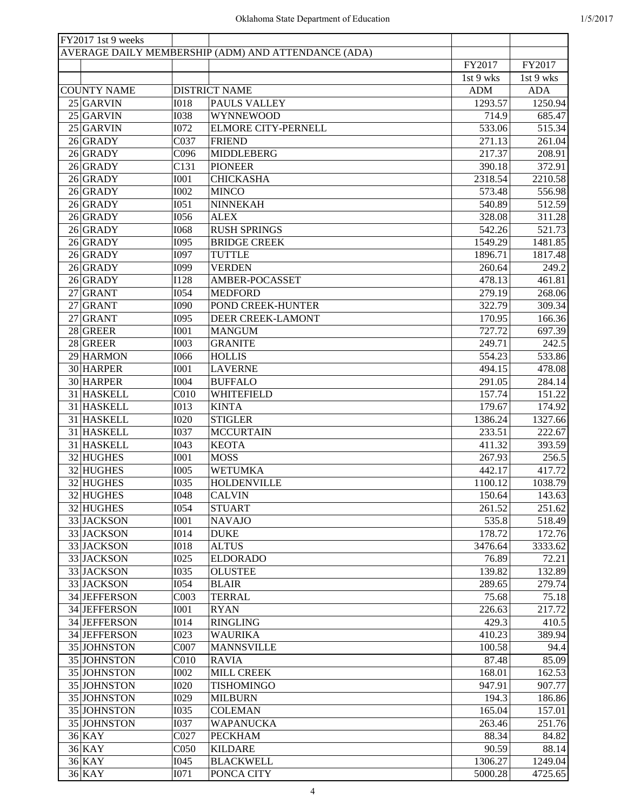|    | FY2017 1st 9 weeks |                  |                                                     |            |            |
|----|--------------------|------------------|-----------------------------------------------------|------------|------------|
|    |                    |                  | AVERAGE DAILY MEMBERSHIP (ADM) AND ATTENDANCE (ADA) |            |            |
|    |                    |                  |                                                     | FY2017     | FY2017     |
|    |                    |                  |                                                     | 1st 9 wks  | 1st 9 wks  |
|    | <b>COUNTY NAME</b> |                  | <b>DISTRICT NAME</b>                                | <b>ADM</b> | <b>ADA</b> |
|    | $25$ GARVIN        | <b>I018</b>      | PAULS VALLEY                                        | 1293.57    | 1250.94    |
|    | $25$ GARVIN        | <b>I038</b>      | <b>WYNNEWOOD</b>                                    | 714.9      | 685.47     |
|    | 25 GARVIN          | <b>I072</b>      | <b>ELMORE CITY-PERNELL</b>                          | 533.06     | 515.34     |
|    | 26 GRADY           | C037             | <b>FRIEND</b>                                       | 271.13     | 261.04     |
|    | 26 GRADY           | C096             | <b>MIDDLEBERG</b>                                   | 217.37     | 208.91     |
|    | 26 GRADY           | C131             | <b>PIONEER</b>                                      | 390.18     | 372.91     |
|    | 26 GRADY           | <b>I001</b>      | <b>CHICKASHA</b>                                    | 2318.54    | 2210.58    |
|    | 26 GRADY           | <b>I002</b>      | <b>MINCO</b>                                        | 573.48     | 556.98     |
|    | 26 GRADY           | I051             | <b>NINNEKAH</b>                                     | 540.89     | 512.59     |
|    | 26 GRADY           | <b>I056</b>      | <b>ALEX</b>                                         | 328.08     | 311.28     |
|    | 26 GRADY           | <b>I068</b>      | <b>RUSH SPRINGS</b>                                 | 542.26     | 521.73     |
|    | 26 GRADY           | I095             | <b>BRIDGE CREEK</b>                                 | 1549.29    | 1481.85    |
|    | 26 GRADY           | <b>I097</b>      | <b>TUTTLE</b>                                       | 1896.71    | 1817.48    |
|    | 26 GRADY           | I099             | <b>VERDEN</b>                                       | 260.64     | 249.2      |
|    |                    |                  |                                                     |            |            |
|    | 26 GRADY           | <b>I128</b>      | AMBER-POCASSET                                      | 478.13     | 461.81     |
|    | $27$ GRANT         | <b>I054</b>      | <b>MEDFORD</b>                                      | 279.19     | 268.06     |
|    | $27$ GRANT         | <b>I090</b>      | POND CREEK-HUNTER                                   | 322.79     | 309.34     |
| 27 | GRANT              | <b>I095</b>      | DEER CREEK-LAMONT                                   | 170.95     | 166.36     |
|    | 28 GREER           | <b>I001</b>      | <b>MANGUM</b>                                       | 727.72     | 697.39     |
|    | 28 GREER           | <b>I003</b>      | <b>GRANITE</b>                                      | 249.71     | 242.5      |
|    | 29 HARMON          | <b>I066</b>      | <b>HOLLIS</b>                                       | 554.23     | 533.86     |
|    | 30 HARPER          | <b>I001</b>      | <b>LAVERNE</b>                                      | 494.15     | 478.08     |
|    | 30 HARPER          | <b>I004</b>      | <b>BUFFALO</b>                                      | 291.05     | 284.14     |
|    | 31 HASKELL         | C <sub>010</sub> | WHITEFIELD                                          | 157.74     | 151.22     |
|    | 31 HASKELL         | <b>I013</b>      | <b>KINTA</b>                                        | 179.67     | 174.92     |
|    | 31 HASKELL         | <b>I020</b>      | <b>STIGLER</b>                                      | 1386.24    | 1327.66    |
|    | 31 HASKELL         | <b>I037</b>      | <b>MCCURTAIN</b>                                    | 233.51     | 222.67     |
|    | 31 HASKELL         | I043             | <b>KEOTA</b>                                        | 411.32     | 393.59     |
|    | 32 HUGHES          | <b>I001</b>      | <b>MOSS</b>                                         | 267.93     | 256.5      |
|    | 32 HUGHES          | <b>I005</b>      | <b>WETUMKA</b>                                      | 442.17     | 417.72     |
|    | 32 HUGHES          | <b>I035</b>      | <b>HOLDENVILLE</b>                                  | 1100.12    | 1038.79    |
|    | 32 HUGHES          | <b>I048</b>      | <b>CALVIN</b>                                       | 150.64     | 143.63     |
|    | 32 HUGHES          | <b>I054</b>      | <b>STUART</b>                                       | 261.52     | 251.62     |
|    | 33 JACKSON         | I001             | <b>NAVAJO</b>                                       | 535.8      | 518.49     |
|    | 33 JACKSON         | <b>I014</b>      | <b>DUKE</b>                                         | 178.72     | 172.76     |
|    | 33 JACKSON         | <b>IO18</b>      | <b>ALTUS</b>                                        | 3476.64    | 3333.62    |
|    | 33 JACKSON         | <b>I025</b>      | <b>ELDORADO</b>                                     | 76.89      | 72.21      |
|    | 33 JACKSON         | <b>I035</b>      | <b>OLUSTEE</b>                                      | 139.82     | 132.89     |
|    | 33 JACKSON         | <b>I054</b>      | <b>BLAIR</b>                                        | 289.65     | 279.74     |
|    | 34 JEFFERSON       | C003             | <b>TERRAL</b>                                       | 75.68      | 75.18      |
|    | 34 JEFFERSON       | I001             | <b>RYAN</b>                                         | 226.63     | 217.72     |
|    | 34 JEFFERSON       | I014             | <b>RINGLING</b>                                     | 429.3      | 410.5      |
|    | 34 JEFFERSON       | <b>I023</b>      | <b>WAURIKA</b>                                      | 410.23     | 389.94     |
|    | 35 JOHNSTON        | C007             | <b>MANNSVILLE</b>                                   | 100.58     | 94.4       |
|    |                    |                  |                                                     |            |            |
|    | 35 JOHNSTON        | C <sub>010</sub> | <b>RAVIA</b>                                        | 87.48      | 85.09      |
|    | 35 JOHNSTON        | <b>I002</b>      | <b>MILL CREEK</b>                                   | 168.01     | 162.53     |
|    | 35 JOHNSTON        | <b>I020</b>      | <b>TISHOMINGO</b>                                   | 947.91     | 907.77     |
|    | 35 JOHNSTON        | <b>I029</b>      | <b>MILBURN</b>                                      | 194.3      | 186.86     |
|    | 35 JOHNSTON        | <b>I035</b>      | <b>COLEMAN</b>                                      | 165.04     | 157.01     |
|    | 35 JOHNSTON        | <b>I037</b>      | <b>WAPANUCKA</b>                                    | 263.46     | 251.76     |
|    | $36$ KAY           | C027             | <b>PECKHAM</b>                                      | 88.34      | 84.82      |
|    | $36$ KAY           | C <sub>050</sub> | <b>KILDARE</b>                                      | 90.59      | 88.14      |
|    | $36$ KAY           | I045             | <b>BLACKWELL</b>                                    | 1306.27    | 1249.04    |
|    | $36$ KAY           | I071             | PONCA CITY                                          | 5000.28    | 4725.65    |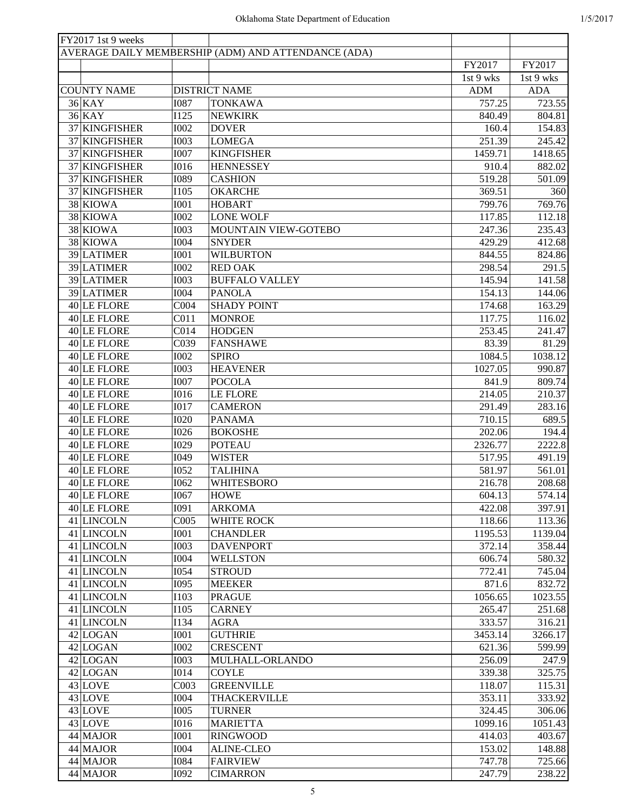| FY2017 1st 9 weeks |                  |                                                     |            |            |
|--------------------|------------------|-----------------------------------------------------|------------|------------|
|                    |                  | AVERAGE DAILY MEMBERSHIP (ADM) AND ATTENDANCE (ADA) |            |            |
|                    |                  |                                                     | FY2017     | FY2017     |
|                    |                  |                                                     | 1st 9 wks  | 1st 9 wks  |
| <b>COUNTY NAME</b> |                  | <b>DISTRICT NAME</b>                                | <b>ADM</b> | <b>ADA</b> |
| $36$ KAY           | <b>I087</b>      | <b>TONKAWA</b>                                      | 757.25     | 723.55     |
| $36$ KAY           | I125             | <b>NEWKIRK</b>                                      | 840.49     | 804.81     |
| 37 KINGFISHER      | <b>I002</b>      | <b>DOVER</b>                                        | 160.4      | 154.83     |
| 37 KINGFISHER      | <b>I003</b>      | <b>LOMEGA</b>                                       | 251.39     | 245.42     |
| 37 KINGFISHER      | <b>I007</b>      | <b>KINGFISHER</b>                                   | 1459.71    | 1418.65    |
| 37 KINGFISHER      | <b>I016</b>      | <b>HENNESSEY</b>                                    | 910.4      | 882.02     |
| 37 KINGFISHER      | <b>I089</b>      | <b>CASHION</b>                                      | 519.28     | 501.09     |
| 37 KINGFISHER      | <b>I105</b>      | <b>OKARCHE</b>                                      | 369.51     | 360        |
| 38 KIOWA           | <b>I001</b>      | <b>HOBART</b>                                       | 799.76     | 769.76     |
| 38 KIOWA           | <b>I002</b>      | <b>LONE WOLF</b>                                    | 117.85     | 112.18     |
| 38 KIOWA           | <b>I003</b>      | MOUNTAIN VIEW-GOTEBO                                | 247.36     | 235.43     |
| 38 KIOWA           | <b>I004</b>      | <b>SNYDER</b>                                       | 429.29     | 412.68     |
| 39 LATIMER         | <b>I001</b>      | <b>WILBURTON</b>                                    | 844.55     | 824.86     |
| 39 LATIMER         | <b>I002</b>      | <b>RED OAK</b>                                      | 298.54     | 291.5      |
| 39 LATIMER         | <b>I003</b>      | <b>BUFFALO VALLEY</b>                               | 145.94     | 141.58     |
| 39 LATIMER         | <b>I004</b>      | <b>PANOLA</b>                                       | 154.13     | 144.06     |
| 40 LE FLORE        | CO <sub>04</sub> | <b>SHADY POINT</b>                                  | 174.68     | 163.29     |
| $40$ LE FLORE      |                  |                                                     | 117.75     | 116.02     |
|                    | CO11             | <b>MONROE</b>                                       |            |            |
| $40$ LE FLORE      | CO14             | <b>HODGEN</b>                                       | 253.45     | 241.47     |
| 40 LE FLORE        | C039             | <b>FANSHAWE</b>                                     | 83.39      | 81.29      |
| $40$ LE FLORE      | <b>I002</b>      | <b>SPIRO</b>                                        | 1084.5     | 1038.12    |
| $40$ LE FLORE      | <b>I003</b>      | <b>HEAVENER</b>                                     | 1027.05    | 990.87     |
| $40$ LE FLORE      | <b>I007</b>      | <b>POCOLA</b>                                       | 841.9      | 809.74     |
| $40$ LE FLORE      | <b>I016</b>      | <b>LE FLORE</b>                                     | 214.05     | 210.37     |
| $40$ LE FLORE      | <b>I017</b>      | <b>CAMERON</b>                                      | 291.49     | 283.16     |
| $40$ LE FLORE      | <b>I020</b>      | <b>PANAMA</b>                                       | 710.15     | 689.5      |
| $40$ LE FLORE      | <b>I026</b>      | <b>BOKOSHE</b>                                      | 202.06     | 194.4      |
| $40$ LE FLORE      | I029             | <b>POTEAU</b>                                       | 2326.77    | 2222.8     |
| $40$ LE FLORE      | I049             | <b>WISTER</b>                                       | 517.95     | 491.19     |
| $40$ LE FLORE      | <b>I052</b>      | <b>TALIHINA</b>                                     | 581.97     | 561.01     |
| $40$ LE FLORE      | I062             | <b>WHITESBORO</b>                                   | 216.78     | 208.68     |
| $40$ LE FLORE      | <b>I067</b>      | <b>HOWE</b>                                         | 604.13     | 574.14     |
| 40 LE FLORE        | I091             | <b>ARKOMA</b>                                       | 422.08     | 397.91     |
| 41 LINCOLN         | COO5             | <b>WHITE ROCK</b>                                   | 118.66     | 113.36     |
| 41 LINCOLN         | <b>I001</b>      | <b>CHANDLER</b>                                     | 1195.53    | 1139.04    |
| 41 LINCOLN         | <b>I003</b>      | <b>DAVENPORT</b>                                    | 372.14     | 358.44     |
| 41 LINCOLN         | <b>I004</b>      | <b>WELLSTON</b>                                     | 606.74     | 580.32     |
| 41 LINCOLN         | <b>I054</b>      | <b>STROUD</b>                                       | 772.41     | 745.04     |
| 41 LINCOLN         | I095             | <b>MEEKER</b>                                       | 871.6      | 832.72     |
| 41 LINCOLN         | <b>I103</b>      | <b>PRAGUE</b>                                       | 1056.65    | 1023.55    |
| 41 LINCOLN         | <b>I105</b>      | <b>CARNEY</b>                                       | 265.47     | 251.68     |
| 41 LINCOLN         | I134             | <b>AGRA</b>                                         | 333.57     | 316.21     |
| 42 LOGAN           | I001             | <b>GUTHRIE</b>                                      | 3453.14    | 3266.17    |
| 42 LOGAN           | <b>I002</b>      | <b>CRESCENT</b>                                     | 621.36     | 599.99     |
| 42 LOGAN           | <b>I003</b>      | MULHALL-ORLANDO                                     | 256.09     | 247.9      |
| 42 LOGAN           | <b>I014</b>      | <b>COYLE</b>                                        | 339.38     | 325.75     |
| $43$ LOVE          | C003             | <b>GREENVILLE</b>                                   | 118.07     | 115.31     |
| $43$ LOVE          | <b>I004</b>      | <b>THACKERVILLE</b>                                 | 353.11     | 333.92     |
| $43$ LOVE          | <b>I005</b>      | <b>TURNER</b>                                       | 324.45     | 306.06     |
| $43$ LOVE          | <b>I016</b>      | <b>MARIETTA</b>                                     | 1099.16    | 1051.43    |
| 44 MAJOR           | I001             | <b>RINGWOOD</b>                                     | 414.03     | 403.67     |
| 44 MAJOR           | <b>I004</b>      | <b>ALINE-CLEO</b>                                   | 153.02     | 148.88     |
| 44 MAJOR           | <b>I084</b>      | <b>FAIRVIEW</b>                                     | 747.78     | 725.66     |
| 44 MAJOR           | <b>I092</b>      | <b>CIMARRON</b>                                     | 247.79     | 238.22     |
|                    |                  |                                                     |            |            |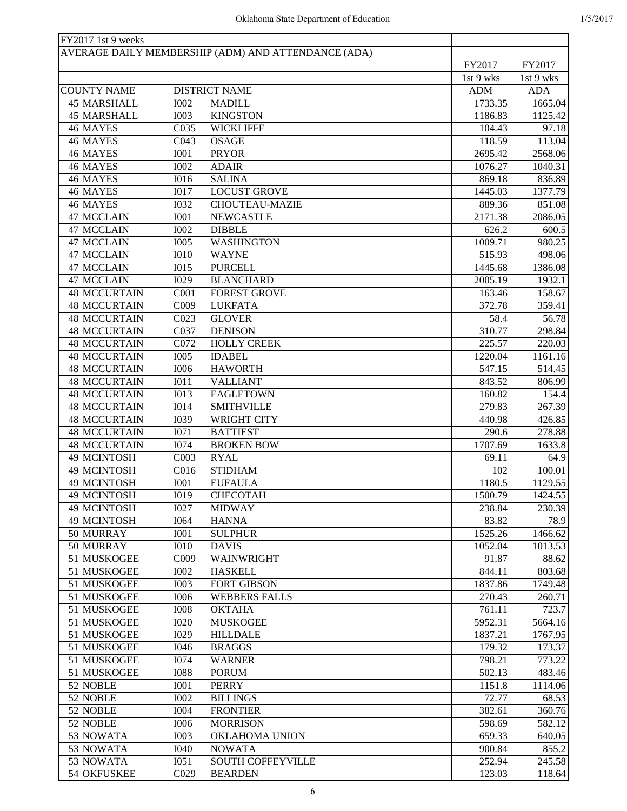| FY2017 1st 9 weeks |                  |                                                     |            |                    |
|--------------------|------------------|-----------------------------------------------------|------------|--------------------|
|                    |                  | AVERAGE DAILY MEMBERSHIP (ADM) AND ATTENDANCE (ADA) |            |                    |
|                    |                  |                                                     | FY2017     | FY2017             |
|                    |                  |                                                     | 1st 9 wks  | 1st 9 wks          |
| <b>COUNTY NAME</b> |                  | <b>DISTRICT NAME</b>                                | <b>ADM</b> | <b>ADA</b>         |
| 45 MARSHALL        | <b>I002</b>      | <b>MADILL</b>                                       | 1733.35    | 1665.04            |
| 45 MARSHALL        | <b>I003</b>      | <b>KINGSTON</b>                                     | 1186.83    | 1125.42            |
| 46 MAYES           | C035             | <b>WICKLIFFE</b>                                    | 104.43     | 97.18              |
| 46 MAYES           | C043             | <b>OSAGE</b>                                        | 118.59     | 113.04             |
| 46 MAYES           | <b>I001</b>      | <b>PRYOR</b>                                        | 2695.42    | 2568.06            |
| 46 MAYES           | <b>I002</b>      | <b>ADAIR</b>                                        | 1076.27    | 1040.31            |
| 46 MAYES           | <b>I016</b>      | <b>SALINA</b>                                       | 869.18     | 836.89             |
| 46 MAYES           | <b>I017</b>      | <b>LOCUST GROVE</b>                                 | 1445.03    | 1377.79            |
| 46 MAYES           | <b>I032</b>      | <b>CHOUTEAU-MAZIE</b>                               | 889.36     | 851.08             |
| 47 MCCLAIN         | <b>I001</b>      | <b>NEWCASTLE</b>                                    | 2171.38    | 2086.05            |
| 47 MCCLAIN         | <b>I002</b>      | <b>DIBBLE</b>                                       | 626.2      | $\overline{600.5}$ |
| 47 MCCLAIN         | <b>I005</b>      | <b>WASHINGTON</b>                                   | 1009.71    | 980.25             |
| 47 MCCLAIN         | <b>I010</b>      | <b>WAYNE</b>                                        | 515.93     | 498.06             |
| 47 MCCLAIN         | <b>I015</b>      | <b>PURCELL</b>                                      | 1445.68    | 1386.08            |
| 47 MCCLAIN         | I029             | <b>BLANCHARD</b>                                    | 2005.19    | 1932.1             |
| 48 MCCURTAIN       | COO1             | <b>FOREST GROVE</b>                                 | 163.46     | 158.67             |
| 48 MCCURTAIN       | C009             | <b>LUKFATA</b>                                      | 372.78     | 359.41             |
|                    |                  |                                                     |            |                    |
| 48 MCCURTAIN       | CO <sub>23</sub> | <b>GLOVER</b>                                       | 58.4       | 56.78              |
| 48 MCCURTAIN       | C037             | <b>DENISON</b>                                      | 310.77     | 298.84             |
| 48 MCCURTAIN       | C072             | <b>HOLLY CREEK</b>                                  | 225.57     | 220.03             |
| 48 MCCURTAIN       | <b>I005</b>      | <b>IDABEL</b>                                       | 1220.04    | 1161.16            |
| 48 MCCURTAIN       | <b>I006</b>      | <b>HAWORTH</b>                                      | 547.15     | 514.45             |
| 48 MCCURTAIN       | <b>IO11</b>      | <b>VALLIANT</b>                                     | 843.52     | 806.99             |
| 48 MCCURTAIN       | <b>I013</b>      | <b>EAGLETOWN</b>                                    | 160.82     | 154.4              |
| 48 MCCURTAIN       | <b>I014</b>      | <b>SMITHVILLE</b>                                   | 279.83     | 267.39             |
| 48 MCCURTAIN       | I039             | <b>WRIGHT CITY</b>                                  | 440.98     | 426.85             |
| 48 MCCURTAIN       | I071             | <b>BATTIEST</b>                                     | 290.6      | 278.88             |
| 48 MCCURTAIN       | <b>I074</b>      | <b>BROKEN BOW</b>                                   | 1707.69    | 1633.8             |
| 49 MCINTOSH        | C003             | <b>RYAL</b>                                         | 69.11      | 64.9               |
| 49 MCINTOSH        | C <sub>016</sub> | <b>STIDHAM</b>                                      | 102        | 100.01             |
| 49 MCINTOSH        | <b>I001</b>      | <b>EUFAULA</b>                                      | 1180.5     | 1129.55            |
| 49 MCINTOSH        | I019             | <b>CHECOTAH</b>                                     | 1500.79    | 1424.55            |
| 49 MCINTOSH        | <b>I027</b>      | <b>MIDWAY</b>                                       | 238.84     | 230.39             |
| 49 MCINTOSH        | <b>I064</b>      | <b>HANNA</b>                                        | 83.82      | 78.9               |
| 50 MURRAY          | I001             | <b>SULPHUR</b>                                      | 1525.26    | 1466.62            |
| 50 MURRAY          | I010             | <b>DAVIS</b>                                        | 1052.04    | 1013.53            |
| 51 MUSKOGEE        | C009             | WAINWRIGHT                                          | 91.87      | 88.62              |
| 51 MUSKOGEE        | <b>I002</b>      | <b>HASKELL</b>                                      | 844.11     | 803.68             |
| 51 MUSKOGEE        | <b>I003</b>      | <b>FORT GIBSON</b>                                  | 1837.86    | 1749.48            |
| 51 MUSKOGEE        | <b>I006</b>      | <b>WEBBERS FALLS</b>                                | 270.43     | 260.71             |
| 51 MUSKOGEE        | <b>I008</b>      | <b>OKTAHA</b>                                       | 761.11     | 723.7              |
| 51 MUSKOGEE        | <b>I020</b>      | <b>MUSKOGEE</b>                                     | 5952.31    | 5664.16            |
| 51 MUSKOGEE        | I029             | <b>HILLDALE</b>                                     | 1837.21    | 1767.95            |
| 51 MUSKOGEE        | I046             | <b>BRAGGS</b>                                       | 179.32     | 173.37             |
| 51 MUSKOGEE        | <b>I074</b>      | <b>WARNER</b>                                       | 798.21     | 773.22             |
| 51 MUSKOGEE        | <b>I088</b>      | <b>PORUM</b>                                        | 502.13     | 483.46             |
| 52 NOBLE           | I001             | <b>PERRY</b>                                        | 1151.8     | 1114.06            |
| 52 NOBLE           | <b>I002</b>      | <b>BILLINGS</b>                                     | 72.77      | 68.53              |
| $52$ NOBLE         | <b>I004</b>      | <b>FRONTIER</b>                                     | 382.61     | 360.76             |
| 52 NOBLE           | <b>I006</b>      | <b>MORRISON</b>                                     | 598.69     | 582.12             |
| 53 NOWATA          | <b>I003</b>      | <b>OKLAHOMA UNION</b>                               | 659.33     | 640.05             |
| 53 NOWATA          | I040             | <b>NOWATA</b>                                       | 900.84     | 855.2              |
| 53 NOWATA          | I051             | <b>SOUTH COFFEYVILLE</b>                            | 252.94     | 245.58             |
| 54 OKFUSKEE        | C029             | <b>BEARDEN</b>                                      | 123.03     | 118.64             |
|                    |                  |                                                     |            |                    |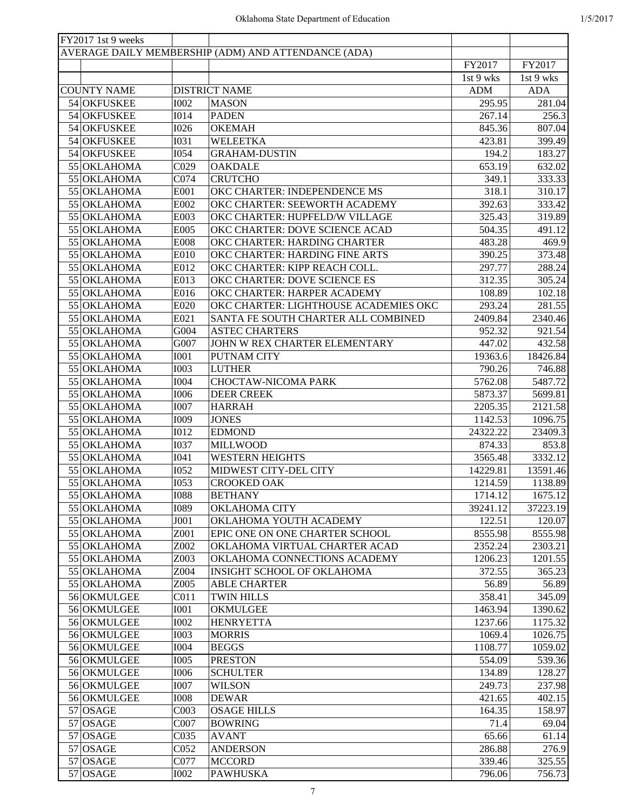| FY2017 1st 9 weeks         |                            |                                                     |            |            |
|----------------------------|----------------------------|-----------------------------------------------------|------------|------------|
|                            |                            | AVERAGE DAILY MEMBERSHIP (ADM) AND ATTENDANCE (ADA) |            |            |
|                            |                            |                                                     | FY2017     | FY2017     |
|                            |                            |                                                     | 1st 9 wks  | 1st 9 wks  |
| <b>COUNTY NAME</b>         |                            | <b>DISTRICT NAME</b>                                | <b>ADM</b> | <b>ADA</b> |
| 54 OKFUSKEE                | <b>I002</b>                | <b>MASON</b>                                        | 295.95     | 281.04     |
| 54 OKFUSKEE                | <b>I014</b>                | <b>PADEN</b>                                        | 267.14     | 256.3      |
| 54 OKFUSKEE                | <b>I026</b>                | <b>OKEMAH</b>                                       | 845.36     | 807.04     |
| 54 OKFUSKEE                | <b>I031</b>                | <b>WELEETKA</b>                                     | 423.81     | 399.49     |
| 54 OKFUSKEE                | <b>I054</b>                | <b>GRAHAM-DUSTIN</b>                                | 194.2      | 183.27     |
| 55 OKLAHOMA                | C029                       | <b>OAKDALE</b>                                      | 653.19     | 632.02     |
| 55 OKLAHOMA                | C074                       | <b>CRUTCHO</b>                                      | 349.1      | 333.33     |
| 55 OKLAHOMA                | E001                       | OKC CHARTER: INDEPENDENCE MS                        | 318.1      | 310.17     |
| 55 OKLAHOMA                | E002                       | OKC CHARTER: SEEWORTH ACADEMY                       | 392.63     | 333.42     |
| 55 OKLAHOMA                | E003                       | OKC CHARTER: HUPFELD/W VILLAGE                      | 325.43     | 319.89     |
| 55 OKLAHOMA                | E005                       | OKC CHARTER: DOVE SCIENCE ACAD                      | 504.35     | 491.12     |
| 55 OKLAHOMA                | <b>E008</b>                | OKC CHARTER: HARDING CHARTER                        | 483.28     | 469.9      |
| 55 OKLAHOMA                | E010                       | OKC CHARTER: HARDING FINE ARTS                      | 390.25     | 373.48     |
| 55 OKLAHOMA                | E012                       | OKC CHARTER: KIPP REACH COLL.                       | 297.77     | 288.24     |
| 55 OKLAHOMA                | E013                       | OKC CHARTER: DOVE SCIENCE ES                        | 312.35     | 305.24     |
| 55 OKLAHOMA                | E016                       | OKC CHARTER: HARPER ACADEMY                         | 108.89     | 102.18     |
| 55 OKLAHOMA                | E020                       | OKC CHARTER: LIGHTHOUSE ACADEMIES OKC               | 293.24     | 281.55     |
| 55 OKLAHOMA                | E021                       | SANTA FE SOUTH CHARTER ALL COMBINED                 | 2409.84    | 2340.46    |
| 55 OKLAHOMA                | G004                       | <b>ASTEC CHARTERS</b>                               | 952.32     | 921.54     |
| 55 OKLAHOMA                | G007                       | JOHN W REX CHARTER ELEMENTARY                       | 447.02     | 432.58     |
| 55 OKLAHOMA                | <b>I001</b>                | PUTNAM CITY                                         | 19363.6    | 18426.84   |
| 55 OKLAHOMA                | <b>I003</b>                | <b>LUTHER</b>                                       | 790.26     | 746.88     |
| 55 OKLAHOMA                | <b>I004</b>                | CHOCTAW-NICOMA PARK                                 | 5762.08    | 5487.72    |
|                            |                            |                                                     |            |            |
| 55 OKLAHOMA                | <b>I006</b><br><b>I007</b> | <b>DEER CREEK</b>                                   | 5873.37    | 5699.81    |
| 55 OKLAHOMA                |                            | <b>HARRAH</b>                                       | 2205.35    | 2121.58    |
| 55 OKLAHOMA                | I009                       | <b>JONES</b>                                        | 1142.53    | 1096.75    |
| 55 OKLAHOMA                | <b>I012</b>                | <b>EDMOND</b>                                       | 24322.22   | 23409.3    |
| 55 OKLAHOMA                | <b>I037</b>                | <b>MILLWOOD</b>                                     | 874.33     | 853.8      |
| 55 OKLAHOMA<br>55 OKLAHOMA | I041                       | <b>WESTERN HEIGHTS</b><br>MIDWEST CITY-DEL CITY     | 3565.48    | 3332.12    |
|                            | <b>I052</b>                |                                                     | 14229.81   | 13591.46   |
| 55 OKLAHOMA                | <b>I053</b>                | <b>CROOKED OAK</b>                                  | 1214.59    | 1138.89    |
| 55 OKLAHOMA                | <b>I088</b>                | <b>BETHANY</b>                                      | 1714.12    | 1675.12    |
| 55 OKLAHOMA                | <b>I089</b>                | OKLAHOMA CITY                                       | 39241.12   | 37223.19   |
| 55 OKLAHOMA                | J001                       | OKLAHOMA YOUTH ACADEMY                              | 122.51     | 120.07     |
| 55 OKLAHOMA                | Z001                       | EPIC ONE ON ONE CHARTER SCHOOL                      | 8555.98    | 8555.98    |
| 55 OKLAHOMA                | Z002                       | OKLAHOMA VIRTUAL CHARTER ACAD                       | 2352.24    | 2303.21    |
| 55 OKLAHOMA                | Z003                       | OKLAHOMA CONNECTIONS ACADEMY                        | 1206.23    | 1201.55    |
| 55 OKLAHOMA                | Z004                       | <b>INSIGHT SCHOOL OF OKLAHOMA</b>                   | 372.55     | 365.23     |
| 55 OKLAHOMA                | Z005                       | <b>ABLE CHARTER</b>                                 | 56.89      | 56.89      |
| 56 OKMULGEE                | C <sub>011</sub>           | <b>TWIN HILLS</b>                                   | 358.41     | 345.09     |
| 56 OKMULGEE                | <b>I001</b>                | OKMULGEE                                            | 1463.94    | 1390.62    |
| 56 OKMULGEE                | <b>I002</b>                | <b>HENRYETTA</b>                                    | 1237.66    | 1175.32    |
| 56 OKMULGEE                | <b>I003</b>                | <b>MORRIS</b>                                       | 1069.4     | 1026.75    |
| 56 OKMULGEE                | <b>I004</b>                | <b>BEGGS</b>                                        | 1108.77    | 1059.02    |
| 56 OKMULGEE                | <b>I005</b>                | <b>PRESTON</b>                                      | 554.09     | 539.36     |
| 56 OKMULGEE                | <b>I006</b>                | <b>SCHULTER</b>                                     | 134.89     | 128.27     |
| 56 OKMULGEE                | <b>I007</b>                | <b>WILSON</b>                                       | 249.73     | 237.98     |
| 56 OKMULGEE                | <b>IOO8</b>                | <b>DEWAR</b>                                        | 421.65     | 402.15     |
| $57$ OSAGE                 | C003                       | <b>OSAGE HILLS</b>                                  | 164.35     | 158.97     |
| $57$ OSAGE                 | C007                       | <b>BOWRING</b>                                      | 71.4       | 69.04      |
| $57$ OSAGE                 | C035                       | <b>AVANT</b>                                        | 65.66      | 61.14      |
| $57$ OSAGE                 | C <sub>052</sub>           | <b>ANDERSON</b>                                     | 286.88     | 276.9      |
| $57$ OSAGE                 | C077                       | <b>MCCORD</b>                                       | 339.46     | 325.55     |
| $57$ OSAGE                 | <b>I002</b>                | <b>PAWHUSKA</b>                                     | 796.06     | 756.73     |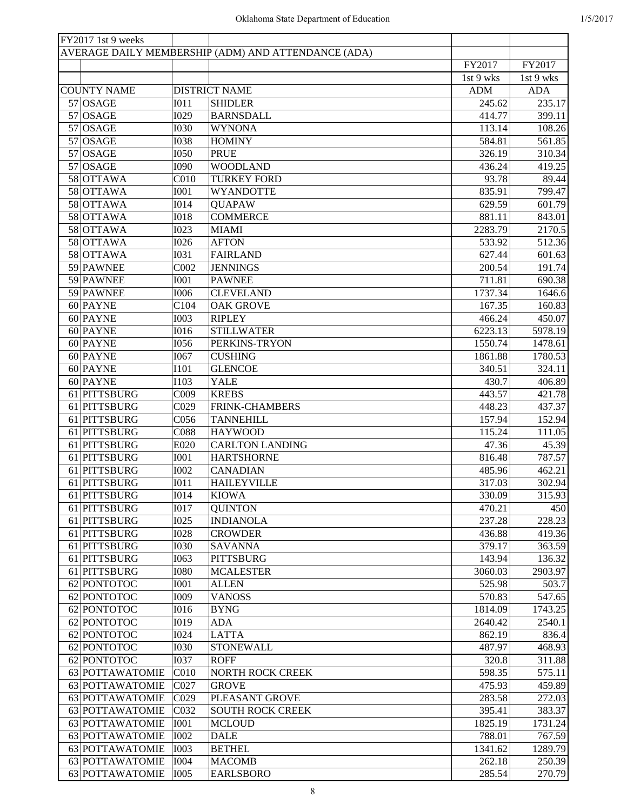| FY2017 1st 9 weeks |                  |                                                     |            |            |
|--------------------|------------------|-----------------------------------------------------|------------|------------|
|                    |                  | AVERAGE DAILY MEMBERSHIP (ADM) AND ATTENDANCE (ADA) |            |            |
|                    |                  |                                                     | FY2017     | FY2017     |
|                    |                  |                                                     | 1st 9 wks  | 1st 9 wks  |
| <b>COUNTY NAME</b> |                  | <b>DISTRICT NAME</b>                                | <b>ADM</b> | <b>ADA</b> |
| $57$ OSAGE         | I011             | <b>SHIDLER</b>                                      | 245.62     | 235.17     |
| $57$ OSAGE         | I029             | <b>BARNSDALL</b>                                    | 414.77     | 399.11     |
| $57$ OSAGE         | <b>I030</b>      | <b>WYNONA</b>                                       | 113.14     | 108.26     |
| $57$ OSAGE         | <b>I038</b>      | <b>HOMINY</b>                                       | 584.81     | 561.85     |
| 57 OSAGE           | <b>I050</b>      | <b>PRUE</b>                                         | 326.19     | 310.34     |
| $57$ OSAGE         | <b>I090</b>      | <b>WOODLAND</b>                                     | 436.24     | 419.25     |
| 58 OTTAWA          | C <sub>010</sub> | <b>TURKEY FORD</b>                                  | 93.78      | 89.44      |
| 58 OTTAWA          | <b>I001</b>      | <b>WYANDOTTE</b>                                    | 835.91     | 799.47     |
| 58 OTTAWA          | <b>I014</b>      | <b>QUAPAW</b>                                       | 629.59     | 601.79     |
| 58 OTTAWA          | <b>I018</b>      | <b>COMMERCE</b>                                     | 881.11     | 843.01     |
| 58 OTTAWA          | <b>I023</b>      | <b>MIAMI</b>                                        | 2283.79    | 2170.5     |
| 58 OTTAWA          | <b>I026</b>      | <b>AFTON</b>                                        | 533.92     | 512.36     |
| 58 OTTAWA          | <b>I031</b>      | <b>FAIRLAND</b>                                     | 627.44     | 601.63     |
| 59 PAWNEE          | C002             | <b>JENNINGS</b>                                     | 200.54     | 191.74     |
| 59 PAWNEE          | <b>I001</b>      | <b>PAWNEE</b>                                       | 711.81     | 690.38     |
|                    |                  |                                                     |            |            |
| 59 PAWNEE          | <b>I006</b>      | <b>CLEVELAND</b>                                    | 1737.34    | 1646.6     |
| 60 PAYNE           | C104             | <b>OAK GROVE</b>                                    | 167.35     | 160.83     |
| 60 PAYNE           | <b>I003</b>      | <b>RIPLEY</b>                                       | 466.24     | 450.07     |
| 60 PAYNE           | <b>I016</b>      | <b>STILLWATER</b>                                   | 6223.13    | 5978.19    |
| 60 PAYNE           | <b>I056</b>      | PERKINS-TRYON                                       | 1550.74    | 1478.61    |
| 60 PAYNE           | <b>I067</b>      | <b>CUSHING</b>                                      | 1861.88    | 1780.53    |
| 60 PAYNE           | <b>I101</b>      | <b>GLENCOE</b>                                      | 340.51     | 324.11     |
| $60$ PAYNE         | <b>I103</b>      | <b>YALE</b>                                         | 430.7      | 406.89     |
| 61 PITTSBURG       | C009             | <b>KREBS</b>                                        | 443.57     | 421.78     |
| 61 PITTSBURG       | C <sub>029</sub> | FRINK-CHAMBERS                                      | 448.23     | 437.37     |
| 61 PITTSBURG       | C056             | <b>TANNEHILL</b>                                    | 157.94     | 152.94     |
| 61 PITTSBURG       | C088             | <b>HAYWOOD</b>                                      | 115.24     | 111.05     |
| 61 PITTSBURG       | E020             | <b>CARLTON LANDING</b>                              | 47.36      | 45.39      |
| 61 PITTSBURG       | <b>I001</b>      | <b>HARTSHORNE</b>                                   | 816.48     | 787.57     |
| 61 PITTSBURG       | <b>I002</b>      | <b>CANADIAN</b>                                     | 485.96     | 462.21     |
| 61 PITTSBURG       | <b>IO11</b>      | <b>HAILEYVILLE</b>                                  | 317.03     | 302.94     |
| 61 PITTSBURG       | <b>I014</b>      | <b>KIOWA</b>                                        | 330.09     | 315.93     |
| 61 PITTSBURG       | <b>I017</b>      | <b>QUINTON</b>                                      | 470.21     | 450        |
| 61 PITTSBURG       | <b>I025</b>      | <b>INDIANOLA</b>                                    | 237.28     | 228.23     |
| 61 PITTSBURG       | <b>I028</b>      | <b>CROWDER</b>                                      | 436.88     | 419.36     |
| 61 PITTSBURG       | <b>I030</b>      | <b>SAVANNA</b>                                      | 379.17     | 363.59     |
| 61 PITTSBURG       | <b>I063</b>      | <b>PITTSBURG</b>                                    | 143.94     | 136.32     |
| 61 PITTSBURG       | <b>I080</b>      | <b>MCALESTER</b>                                    | 3060.03    | 2903.97    |
| 62 PONTOTOC        | <b>I001</b>      | <b>ALLEN</b>                                        | 525.98     | 503.7      |
| 62 PONTOTOC        | <b>I009</b>      | <b>VANOSS</b>                                       | 570.83     | 547.65     |
| 62 PONTOTOC        | <b>I016</b>      | <b>BYNG</b>                                         | 1814.09    | 1743.25    |
| 62 PONTOTOC        | I019             | <b>ADA</b>                                          | 2640.42    | 2540.1     |
| 62 PONTOTOC        | <b>I024</b>      | <b>LATTA</b>                                        | 862.19     | 836.4      |
| 62 PONTOTOC        | <b>I030</b>      | <b>STONEWALL</b>                                    | 487.97     | 468.93     |
| 62 PONTOTOC        | <b>I037</b>      | <b>ROFF</b>                                         | 320.8      | 311.88     |
| 63 POTTAWATOMIE    | C010             | <b>NORTH ROCK CREEK</b>                             | 598.35     | 575.11     |
| 63 POTTAWATOMIE    | C027             | <b>GROVE</b>                                        | 475.93     | 459.89     |
| 63 POTTAWATOMIE    | C029             | PLEASANT GROVE                                      | 283.58     | 272.03     |
| 63 POTTAWATOMIE    | C032             | <b>SOUTH ROCK CREEK</b>                             | 395.41     | 383.37     |
| 63 POTTAWATOMIE    | <b>I001</b>      | <b>MCLOUD</b>                                       | 1825.19    | 1731.24    |
| 63 POTTAWATOMIE    | <b>I002</b>      |                                                     |            | 767.59     |
|                    |                  | <b>DALE</b>                                         | 788.01     |            |
| 63 POTTAWATOMIE    | <b>I003</b>      | <b>BETHEL</b>                                       | 1341.62    | 1289.79    |
| 63 POTTAWATOMIE    | <b>I004</b>      | <b>MACOMB</b>                                       | 262.18     | 250.39     |
| 63 POTTAWATOMIE    | <b>I005</b>      | <b>EARLSBORO</b>                                    | 285.54     | 270.79     |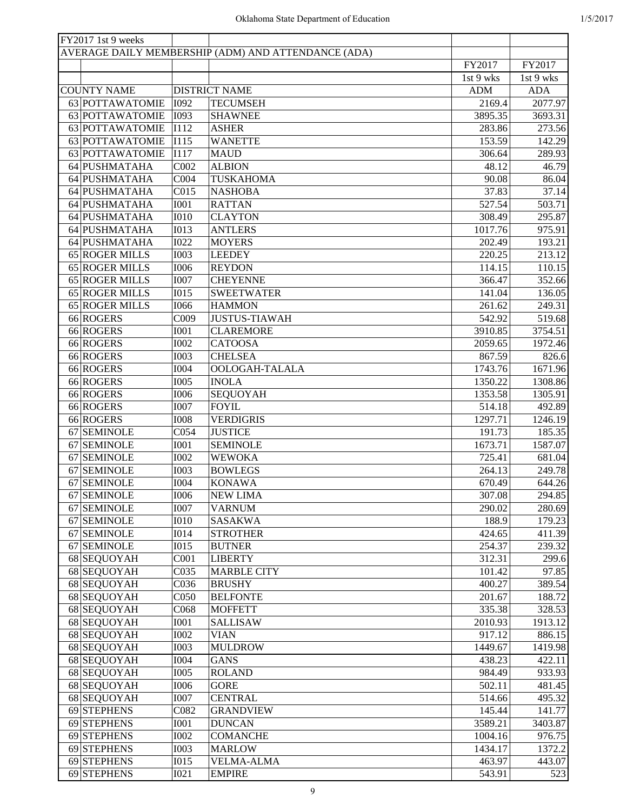| FY2017 1st 9 weeks |                  |                                                     |            |            |
|--------------------|------------------|-----------------------------------------------------|------------|------------|
|                    |                  | AVERAGE DAILY MEMBERSHIP (ADM) AND ATTENDANCE (ADA) |            |            |
|                    |                  |                                                     | FY2017     | FY2017     |
|                    |                  |                                                     | 1st 9 wks  | 1st 9 wks  |
| <b>COUNTY NAME</b> |                  | <b>DISTRICT NAME</b>                                | <b>ADM</b> | <b>ADA</b> |
| 63 POTTAWATOMIE    | <b>I092</b>      | <b>TECUMSEH</b>                                     | 2169.4     | 2077.97    |
| 63 POTTAWATOMIE    | I093             | <b>SHAWNEE</b>                                      | 3895.35    | 3693.31    |
| 63 POTTAWATOMIE    | I112             | <b>ASHER</b>                                        | 283.86     | 273.56     |
| 63 POTTAWATOMIE    | I115             | <b>WANETTE</b>                                      | 153.59     | 142.29     |
|                    |                  |                                                     |            |            |
| 63 POTTAWATOMIE    | I117             | <b>MAUD</b>                                         | 306.64     | 289.93     |
| 64 PUSHMATAHA      | C002             | <b>ALBION</b>                                       | 48.12      | 46.79      |
| 64 PUSHMATAHA      | C <sub>004</sub> | <b>TUSKAHOMA</b>                                    | 90.08      | 86.04      |
| 64 PUSHMATAHA      | C015             | <b>NASHOBA</b>                                      | 37.83      | 37.14      |
| 64 PUSHMATAHA      | <b>I001</b>      | <b>RATTAN</b>                                       | 527.54     | 503.71     |
| 64 PUSHMATAHA      | <b>I010</b>      | <b>CLAYTON</b>                                      | 308.49     | 295.87     |
| 64 PUSHMATAHA      | <b>I013</b>      | <b>ANTLERS</b>                                      | 1017.76    | 975.91     |
| 64 PUSHMATAHA      | <b>I022</b>      | <b>MOYERS</b>                                       | 202.49     | 193.21     |
| 65 ROGER MILLS     | <b>I003</b>      | <b>LEEDEY</b>                                       | 220.25     | 213.12     |
| 65 ROGER MILLS     | <b>I006</b>      | <b>REYDON</b>                                       | 114.15     | 110.15     |
| 65 ROGER MILLS     | <b>I007</b>      | <b>CHEYENNE</b>                                     | 366.47     | 352.66     |
| 65 ROGER MILLS     | <b>I015</b>      | <b>SWEETWATER</b>                                   | 141.04     | 136.05     |
| 65 ROGER MILLS     | <b>I066</b>      | <b>HAMMON</b>                                       | 261.62     | 249.31     |
| 66 ROGERS          | C009             | <b>JUSTUS-TIAWAH</b>                                | 542.92     | 519.68     |
| 66 ROGERS          | <b>I001</b>      | <b>CLAREMORE</b>                                    | 3910.85    | 3754.51    |
| 66 ROGERS          | <b>I002</b>      | <b>CATOOSA</b>                                      | 2059.65    | 1972.46    |
| 66 ROGERS          | <b>I003</b>      | <b>CHELSEA</b>                                      | 867.59     | 826.6      |
|                    |                  |                                                     |            |            |
| 66 ROGERS          | <b>I004</b>      | OOLOGAH-TALALA                                      | 1743.76    | 1671.96    |
| 66 ROGERS          | <b>I005</b>      | <b>INOLA</b>                                        | 1350.22    | 1308.86    |
| 66 ROGERS          | <b>I006</b>      | <b>SEQUOYAH</b>                                     | 1353.58    | 1305.91    |
| 66 ROGERS          | <b>I007</b>      | <b>FOYIL</b>                                        | 514.18     | 492.89     |
| 66 ROGERS          | <b>I008</b>      | <b>VERDIGRIS</b>                                    | 1297.71    | 1246.19    |
| 67 SEMINOLE        | C054             | <b>JUSTICE</b>                                      | 191.73     | 185.35     |
| 67 SEMINOLE        | <b>I001</b>      | <b>SEMINOLE</b>                                     | 1673.71    | 1587.07    |
| 67 SEMINOLE        | <b>I002</b>      | <b>WEWOKA</b>                                       | 725.41     | 681.04     |
| 67 SEMINOLE        | <b>I003</b>      | <b>BOWLEGS</b>                                      | 264.13     | 249.78     |
| 67 SEMINOLE        | <b>I004</b>      | <b>KONAWA</b>                                       | 670.49     | 644.26     |
| 67 SEMINOLE        | <b>I006</b>      | <b>NEW LIMA</b>                                     | 307.08     | 294.85     |
| 67 SEMINOLE        | <b>I007</b>      | <b>VARNUM</b>                                       | 290.02     | 280.69     |
| 67 SEMINOLE        | I010             | <b>SASAKWA</b>                                      | 188.9      | 179.23     |
| 67 SEMINOLE        | I014             | <b>STROTHER</b>                                     | 424.65     | 411.39     |
| 67 SEMINOLE        | I015             | <b>BUTNER</b>                                       | 254.37     | 239.32     |
| 68 SEQUOYAH        | COO1             | <b>LIBERTY</b>                                      | 312.31     | 299.6      |
| 68 SEQUOYAH        | C035             | <b>MARBLE CITY</b>                                  | 101.42     | 97.85      |
| 68 SEQUOYAH        | C036             | <b>BRUSHY</b>                                       | 400.27     | 389.54     |
|                    |                  |                                                     |            |            |
| 68 SEQUOYAH        | C050             | <b>BELFONTE</b>                                     | 201.67     | 188.72     |
| 68 SEQUOYAH        | C068             | <b>MOFFETT</b>                                      | 335.38     | 328.53     |
| 68 SEQUOYAH        | <b>I001</b>      | <b>SALLISAW</b>                                     | 2010.93    | 1913.12    |
| 68 SEQUOYAH        | <b>I002</b>      | <b>VIAN</b>                                         | 917.12     | 886.15     |
| 68 SEQUOYAH        | <b>I003</b>      | <b>MULDROW</b>                                      | 1449.67    | 1419.98    |
| 68 SEQUOYAH        | <b>I004</b>      | <b>GANS</b>                                         | 438.23     | 422.11     |
| 68 SEQUOYAH        | <b>I005</b>      | <b>ROLAND</b>                                       | 984.49     | 933.93     |
| 68 SEQUOYAH        | <b>I006</b>      | <b>GORE</b>                                         | 502.11     | 481.45     |
| 68 SEQUOYAH        | <b>I007</b>      | <b>CENTRAL</b>                                      | 514.66     | 495.32     |
| 69 STEPHENS        | C082             | <b>GRANDVIEW</b>                                    | 145.44     | 141.77     |
| 69 STEPHENS        | I001             | <b>DUNCAN</b>                                       | 3589.21    | 3403.87    |
| 69 STEPHENS        | <b>I002</b>      | <b>COMANCHE</b>                                     | 1004.16    | 976.75     |
| 69 STEPHENS        | <b>I003</b>      | <b>MARLOW</b>                                       | 1434.17    | 1372.2     |
| 69 STEPHENS        | I015             | <b>VELMA-ALMA</b>                                   | 463.97     | 443.07     |
| 69 STEPHENS        | I021             | <b>EMPIRE</b>                                       | 543.91     | 523        |
|                    |                  |                                                     |            |            |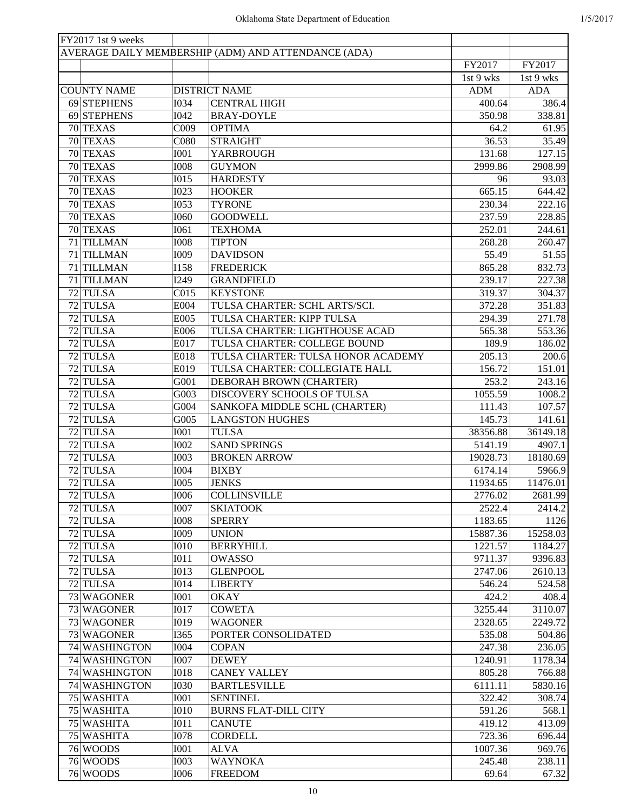| FY2017 1st 9 weeks |                  |                                                     |            |            |
|--------------------|------------------|-----------------------------------------------------|------------|------------|
|                    |                  | AVERAGE DAILY MEMBERSHIP (ADM) AND ATTENDANCE (ADA) |            |            |
|                    |                  |                                                     | FY2017     | FY2017     |
|                    |                  |                                                     | 1st 9 wks  | 1st 9 wks  |
| <b>COUNTY NAME</b> |                  | <b>DISTRICT NAME</b>                                | <b>ADM</b> | <b>ADA</b> |
| 69 STEPHENS        | <b>I034</b>      | <b>CENTRAL HIGH</b>                                 | 400.64     | 386.4      |
| 69 STEPHENS        | <b>I042</b>      | <b>BRAY-DOYLE</b>                                   | 350.98     | 338.81     |
| 70 TEXAS           | C009             | <b>OPTIMA</b>                                       | 64.2       | 61.95      |
| 70 TEXAS           | C080             | <b>STRAIGHT</b>                                     | 36.53      | 35.49      |
| 70 TEXAS           | <b>I001</b>      | YARBROUGH                                           | 131.68     | 127.15     |
| 70 TEXAS           | <b>I008</b>      | <b>GUYMON</b>                                       | 2999.86    | 2908.99    |
| 70 TEXAS           | <b>I015</b>      | <b>HARDESTY</b>                                     | 96         | 93.03      |
| 70 TEXAS           | <b>I023</b>      | <b>HOOKER</b>                                       | 665.15     | 644.42     |
| 70 TEXAS           | <b>I053</b>      | <b>TYRONE</b>                                       | 230.34     | 222.16     |
| 70 TEXAS           | I060             | <b>GOODWELL</b>                                     | 237.59     | 228.85     |
| 70 TEXAS           | I061             | <b>TEXHOMA</b>                                      | 252.01     | 244.61     |
| 71 TILLMAN         | <b>I008</b>      | <b>TIPTON</b>                                       | 268.28     | 260.47     |
| 71 TILLMAN         | I009             | <b>DAVIDSON</b>                                     | 55.49      | 51.55      |
| 71 TILLMAN         | <b>I158</b>      | <b>FREDERICK</b>                                    | 865.28     | 832.73     |
| 71 TILLMAN         | I249             | <b>GRANDFIELD</b>                                   | 239.17     | 227.38     |
| 72 TULSA           |                  |                                                     |            |            |
|                    | C <sub>015</sub> | <b>KEYSTONE</b>                                     | 319.37     | 304.37     |
| 72 TULSA           | E004             | TULSA CHARTER: SCHL ARTS/SCI.                       | 372.28     | 351.83     |
| 72 TULSA           | E005             | TULSA CHARTER: KIPP TULSA                           | 294.39     | 271.78     |
| 72 TULSA           | E006             | TULSA CHARTER: LIGHTHOUSE ACAD                      | 565.38     | 553.36     |
| 72 TULSA           | E017             | TULSA CHARTER: COLLEGE BOUND                        | 189.9      | 186.02     |
| 72 TULSA           | E018             | TULSA CHARTER: TULSA HONOR ACADEMY                  | 205.13     | 200.6      |
| 72 TULSA           | E019             | TULSA CHARTER: COLLEGIATE HALL                      | 156.72     | 151.01     |
| 72 TULSA           | G001             | DEBORAH BROWN (CHARTER)                             | 253.2      | 243.16     |
| 72 TULSA           | G003             | DISCOVERY SCHOOLS OF TULSA                          | 1055.59    | 1008.2     |
| 72 TULSA           | G004             | SANKOFA MIDDLE SCHL (CHARTER)                       | 111.43     | 107.57     |
| 72 TULSA           | G005             | <b>LANGSTON HUGHES</b>                              | 145.73     | 141.61     |
| 72 TULSA           | <b>I001</b>      | <b>TULSA</b>                                        | 38356.88   | 36149.18   |
| 72 TULSA           | <b>I002</b>      | <b>SAND SPRINGS</b>                                 | 5141.19    | 4907.1     |
| 72 TULSA           | <b>I003</b>      | <b>BROKEN ARROW</b>                                 | 19028.73   | 18180.69   |
| 72 TULSA           | <b>I004</b>      | <b>BIXBY</b>                                        | 6174.14    | 5966.9     |
| 72 TULSA           | <b>I005</b>      | <b>JENKS</b>                                        | 11934.65   | 11476.01   |
| 72 TULSA           | <b>I006</b>      | <b>COLLINSVILLE</b>                                 | 2776.02    | 2681.99    |
| 72 TULSA           | <b>I007</b>      | <b>SKIATOOK</b>                                     | 2522.4     | 2414.2     |
| 72 TULSA           | <b>I008</b>      | <b>SPERRY</b>                                       | 1183.65    | 1126       |
| 72 TULSA           | I009             | <b>UNION</b>                                        | 15887.36   | 15258.03   |
| 72 TULSA           | I010             | <b>BERRYHILL</b>                                    | 1221.57    | 1184.27    |
| 72 TULSA           | I011             | <b>OWASSO</b>                                       | 9711.37    | 9396.83    |
| 72 TULSA           | <b>I013</b>      | <b>GLENPOOL</b>                                     | 2747.06    | 2610.13    |
| 72 TULSA           | <b>I014</b>      | <b>LIBERTY</b>                                      | 546.24     | 524.58     |
| 73 WAGONER         | <b>I001</b>      | <b>OKAY</b>                                         | 424.2      | 408.4      |
| 73 WAGONER         | <b>I017</b>      | <b>COWETA</b>                                       | 3255.44    | 3110.07    |
| 73 WAGONER         | <b>I019</b>      | <b>WAGONER</b>                                      | 2328.65    | 2249.72    |
| 73 WAGONER         | I365             | PORTER CONSOLIDATED                                 | 535.08     | 504.86     |
| 74 WASHINGTON      | <b>I004</b>      | <b>COPAN</b>                                        | 247.38     | 236.05     |
| 74 WASHINGTON      | <b>I007</b>      | <b>DEWEY</b>                                        | 1240.91    | 1178.34    |
| 74 WASHINGTON      | <b>I018</b>      | <b>CANEY VALLEY</b>                                 |            | 766.88     |
|                    |                  |                                                     | 805.28     |            |
| 74 WASHINGTON      | <b>I030</b>      | <b>BARTLESVILLE</b>                                 | 6111.11    | 5830.16    |
| 75 WASHITA         | <b>I001</b>      | <b>SENTINEL</b>                                     | 322.42     | 308.74     |
| 75 WASHITA         | I010             | <b>BURNS FLAT-DILL CITY</b>                         | 591.26     | 568.1      |
| 75 WASHITA         | I011             | <b>CANUTE</b>                                       | 419.12     | 413.09     |
| 75 WASHITA         | <b>I078</b>      | <b>CORDELL</b>                                      | 723.36     | 696.44     |
| 76 WOODS           | I001             | <b>ALVA</b>                                         | 1007.36    | 969.76     |
| 76 WOODS           | <b>I003</b>      | <b>WAYNOKA</b>                                      | 245.48     | 238.11     |
| 76 WOODS           | <b>I006</b>      | <b>FREEDOM</b>                                      | 69.64      | 67.32      |